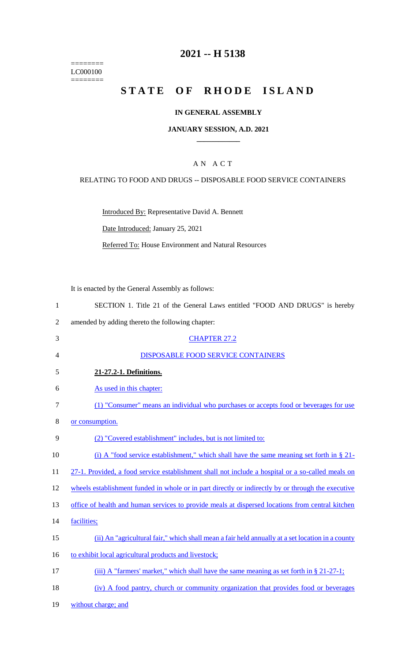======== LC000100 ========

# **2021 -- H 5138**

# **STATE OF RHODE ISLAND**

#### **IN GENERAL ASSEMBLY**

#### **JANUARY SESSION, A.D. 2021 \_\_\_\_\_\_\_\_\_\_\_\_**

## A N A C T

#### RELATING TO FOOD AND DRUGS -- DISPOSABLE FOOD SERVICE CONTAINERS

Introduced By: Representative David A. Bennett

Date Introduced: January 25, 2021

Referred To: House Environment and Natural Resources

It is enacted by the General Assembly as follows:

- 1 SECTION 1. Title 21 of the General Laws entitled "FOOD AND DRUGS" is hereby
- 2 amended by adding thereto the following chapter:
- 3 CHAPTER 27.2 4 DISPOSABLE FOOD SERVICE CONTAINERS 5 **21-27.2-1. Definitions.**  6 As used in this chapter: 7 (1) "Consumer" means an individual who purchases or accepts food or beverages for use 8 or consumption. 9 (2) "Covered establishment" includes, but is not limited to: 10 (i) A "food service establishment," which shall have the same meaning set forth in § 21-11 27-1. Provided, a food service establishment shall not include a hospital or a so-called meals on 12 wheels establishment funded in whole or in part directly or indirectly by or through the executive 13 office of health and human services to provide meals at dispersed locations from central kitchen 14 facilities; 15 (ii) An "agricultural fair," which shall mean a fair held annually at a set location in a county 16 to exhibit local agricultural products and livestock; 17 (iii) A "farmers' market," which shall have the same meaning as set forth in § 21-27-1; 18 (iv) A food pantry, church or community organization that provides food or beverages
- 19 without charge; and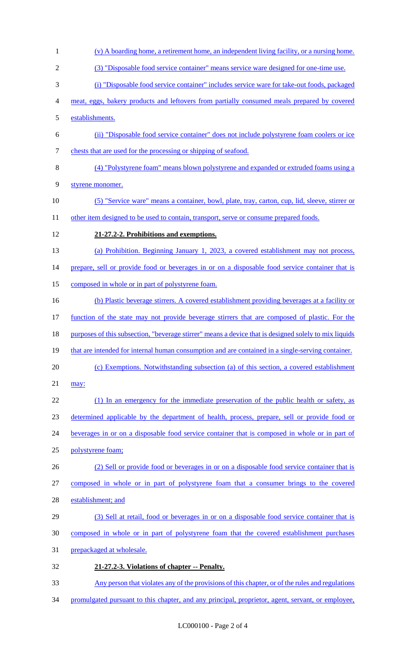- (v) A boarding home, a retirement home, an independent living facility, or a nursing home. (3) "Disposable food service container" means service ware designed for one-time use. (i) "Disposable food service container" includes service ware for take-out foods, packaged meat, eggs, bakery products and leftovers from partially consumed meals prepared by covered establishments. (ii) "Disposable food service container" does not include polystyrene foam coolers or ice chests that are used for the processing or shipping of seafood. (4) "Polystyrene foam" means blown polystyrene and expanded or extruded foams using a styrene monomer. (5) "Service ware" means a container, bowl, plate, tray, carton, cup, lid, sleeve, stirrer or 11 other item designed to be used to contain, transport, serve or consume prepared foods. **21-27.2-2. Prohibitions and exemptions.**  (a) Prohibition. Beginning January 1, 2023, a covered establishment may not process, 14 prepare, sell or provide food or beverages in or on a disposable food service container that is composed in whole or in part of polystyrene foam. (b) Plastic beverage stirrers. A covered establishment providing beverages at a facility or function of the state may not provide beverage stirrers that are composed of plastic. For the purposes of this subsection, "beverage stirrer" means a device that is designed solely to mix liquids 19 that are intended for internal human consumption and are contained in a single-serving container. (c) Exemptions. Notwithstanding subsection (a) of this section, a covered establishment may: 22 (1) In an emergency for the immediate preservation of the public health or safety, as determined applicable by the department of health, process, prepare, sell or provide food or beverages in or on a disposable food service container that is composed in whole or in part of polystyrene foam; (2) Sell or provide food or beverages in or on a disposable food service container that is composed in whole or in part of polystyrene foam that a consumer brings to the covered establishment; and (3) Sell at retail, food or beverages in or on a disposable food service container that is composed in whole or in part of polystyrene foam that the covered establishment purchases prepackaged at wholesale. **21-27.2-3. Violations of chapter -- Penalty.**  Any person that violates any of the provisions of this chapter, or of the rules and regulations
- 34 promulgated pursuant to this chapter, and any principal, proprietor, agent, servant, or employee,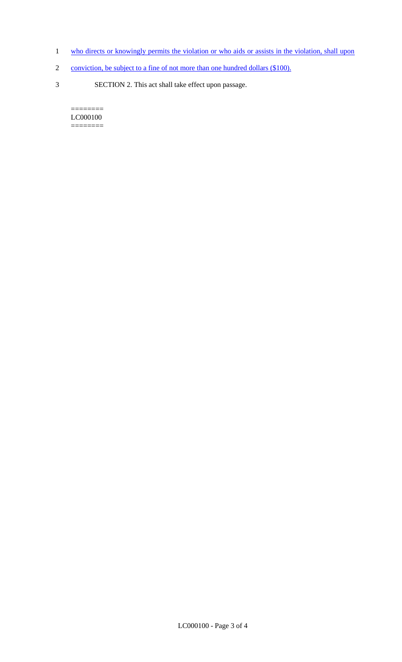- 1 who directs or knowingly permits the violation or who aids or assists in the violation, shall upon
- 2 conviction, be subject to a fine of not more than one hundred dollars (\$100).
- 3 SECTION 2. This act shall take effect upon passage.

 $=$ LC000100 ========